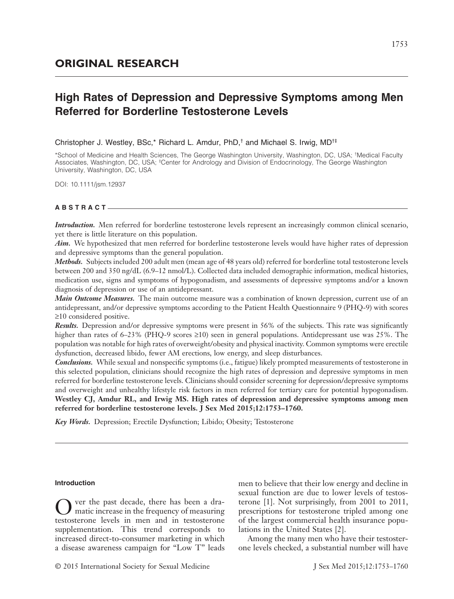# **High Rates of Depression and Depressive Symptoms among Men Referred for Borderline Testosterone Levels**

Christopher J. Westley, BSc,\* Richard L. Amdur, PhD,† and Michael S. Irwig, MD†‡

\*School of Medicine and Health Sciences, The George Washington University, Washington, DC, USA; † Medical Faculty Associates, Washington, DC, USA; <sup>‡</sup>Center for Andrology and Division of Endocrinology, The George Washington University, Washington, DC, USA

DOI: 10.1111/jsm.12937

### **ABSTRACT**

*Introduction.* Men referred for borderline testosterone levels represent an increasingly common clinical scenario, yet there is little literature on this population.

*Aim.* We hypothesized that men referred for borderline testosterone levels would have higher rates of depression and depressive symptoms than the general population.

*Methods.* Subjects included 200 adult men (mean age of 48 years old) referred for borderline total testosterone levels between 200 and 350 ng/dL (6.9–12 nmol/L). Collected data included demographic information, medical histories, medication use, signs and symptoms of hypogonadism, and assessments of depressive symptoms and/or a known diagnosis of depression or use of an antidepressant.

*Main Outcome Measures.* The main outcome measure was a combination of known depression, current use of an antidepressant, and/or depressive symptoms according to the Patient Health Questionnaire 9 (PHQ-9) with scores ≥10 considered positive.

*Results.* Depression and/or depressive symptoms were present in 56% of the subjects. This rate was significantly higher than rates of 6–23% (PHQ-9 scores ≥10) seen in general populations. Antidepressant use was 25%. The population was notable for high rates of overweight/obesity and physical inactivity. Common symptoms were erectile dysfunction, decreased libido, fewer AM erections, low energy, and sleep disturbances.

*Conclusions.* While sexual and nonspecific symptoms (i.e., fatigue) likely prompted measurements of testosterone in this selected population, clinicians should recognize the high rates of depression and depressive symptoms in men referred for borderline testosterone levels. Clinicians should consider screening for depression/depressive symptoms and overweight and unhealthy lifestyle risk factors in men referred for tertiary care for potential hypogonadism. **Westley CJ, Amdur RL, and Irwig MS. High rates of depression and depressive symptoms among men referred for borderline testosterone levels. J Sex Med 2015;12:1753–1760.**

*Key Words.* Depression; Erectile Dysfunction; Libido; Obesity; Testosterone

## **Introduction**

Over the past decade, there has been a dra-<br>matic increase in the frequency of measuring testosterone levels in men and in testosterone supplementation. This trend corresponds to increased direct-to-consumer marketing in which a disease awareness campaign for "Low T" leads

men to believe that their low energy and decline in sexual function are due to lower levels of testosterone [1]. Not surprisingly, from 2001 to 2011, prescriptions for testosterone tripled among one of the largest commercial health insurance populations in the United States [2].

Among the many men who have their testosterone levels checked, a substantial number will have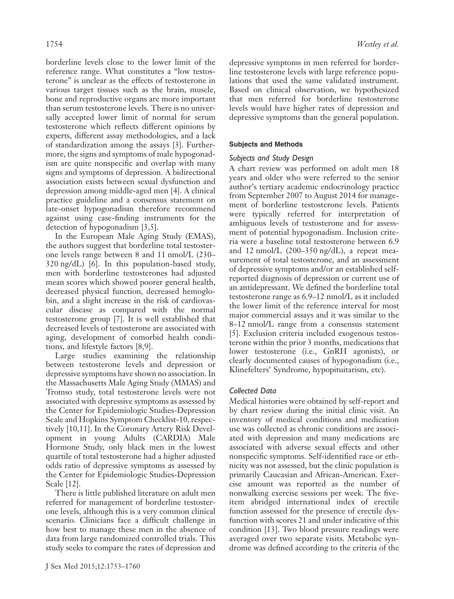borderline levels close to the lower limit of the reference range. What constitutes a "low testosterone" is unclear as the effects of testosterone in various target tissues such as the brain, muscle, bone and reproductive organs are more important than serum testosterone levels. There is no universally accepted lower limit of normal for serum testosterone which reflects different opinions by experts, different assay methodologies, and a lack of standardization among the assays [3]. Furthermore, the signs and symptoms of male hypogonadism are quite nonspecific and overlap with many signs and symptoms of depression. A bidirectional association exists between sexual dysfunction and depression among middle-aged men [4]. A clinical practice guideline and a consensus statement on late-onset hypogonadism therefore recommend against using case-finding instruments for the detection of hypogonadism [3,5].

In the European Male Aging Study (EMAS), the authors suggest that borderline total testosterone levels range between 8 and 11 nmol/L (230– 320 ng/dL) [6]. In this population-based study, men with borderline testosterones had adjusted mean scores which showed poorer general health, decreased physical function, decreased hemoglobin, and a slight increase in the risk of cardiovascular disease as compared with the normal testosterone group [7]. It is well established that decreased levels of testosterone are associated with aging, development of comorbid health conditions, and lifestyle factors [8,9].

Large studies examining the relationship between testosterone levels and depression or depressive symptoms have shown no association. In the Massachusetts Male Aging Study (MMAS) and Tromso study, total testosterone levels were not associated with depressive symptoms as assessed by the Center for Epidemiologic Studies-Depression Scale and Hopkins Symptom Checklist-10, respectively [10,11]. In the Coronary Artery Risk Development in young Adults (CARDIA) Male Hormone Study, only black men in the lowest quartile of total testosterone had a higher adjusted odds ratio of depressive symptoms as assessed by the Center for Epidemiologic Studies-Depression Scale [12].

There is little published literature on adult men referred for management of borderline testosterone levels, although this is a very common clinical scenario. Clinicians face a difficult challenge in how best to manage these men in the absence of data from large randomized controlled trials. This study seeks to compare the rates of depression and

depressive symptoms in men referred for borderline testosterone levels with large reference populations that used the same validated instrument. Based on clinical observation, we hypothesized that men referred for borderline testosterone levels would have higher rates of depression and depressive symptoms than the general population.

## **Subjects and Methods**

## *Subjects and Study Design*

A chart review was performed on adult men 18 years and older who were referred to the senior author's tertiary academic endocrinology practice from September 2007 to August 2014 for management of borderline testosterone levels. Patients were typically referred for interpretation of ambiguous levels of testosterone and for assessment of potential hypogonadism. Inclusion criteria were a baseline total testosterone between 6.9 and 12 nmol/L (200–350 ng/dL), a repeat measurement of total testosterone, and an assessment of depressive symptoms and/or an established selfreported diagnosis of depression or current use of an antidepressant. We defined the borderline total testosterone range as 6.9–12 nmol/L as it included the lower limit of the reference interval for most major commercial assays and it was similar to the 8–12 nmol/L range from a consensus statement [5]. Exclusion criteria included exogenous testosterone within the prior 3 months, medications that lower testosterone (i.e., GnRH agonists), or clearly documented causes of hypogonadism (i.e., Klinefelters' Syndrome, hypopituitarism, etc).

# *Collected Data*

Medical histories were obtained by self-report and by chart review during the initial clinic visit. An inventory of medical conditions and medication use was collected as chronic conditions are associated with depression and many medications are associated with adverse sexual effects and other nonspecific symptoms. Self-identified race or ethnicity was not assessed, but the clinic population is primarily Caucasian and African-American. Exercise amount was reported as the number of nonwalking exercise sessions per week. The fiveitem abridged international index of erectile function assessed for the presence of erectile dysfunction with scores 21 and under indicative of this condition [13]. Two blood pressure readings were averaged over two separate visits. Metabolic syndrome was defined according to the criteria of the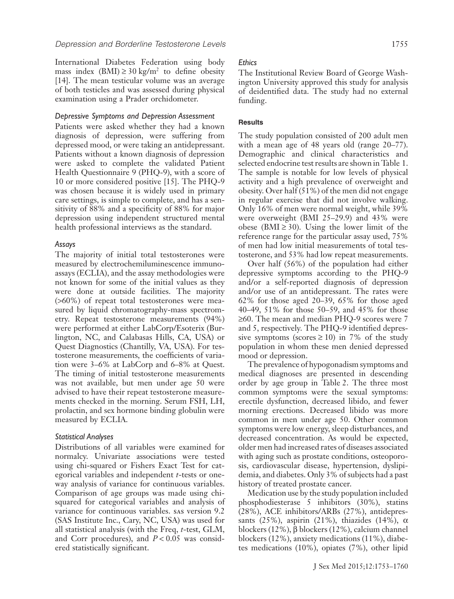International Diabetes Federation using body mass index (BMI)  $\geq$  30 kg/m<sup>2</sup> to define obesity [14]. The mean testicular volume was an average of both testicles and was assessed during physical examination using a Prader orchidometer.

## *Depressive Symptoms and Depression Assessment*

Patients were asked whether they had a known diagnosis of depression, were suffering from depressed mood, or were taking an antidepressant. Patients without a known diagnosis of depression were asked to complete the validated Patient Health Questionnaire 9 (PHQ-9), with a score of 10 or more considered positive [15]. The PHQ-9 was chosen because it is widely used in primary care settings, is simple to complete, and has a sensitivity of 88% and a specificity of 88% for major depression using independent structured mental health professional interviews as the standard.

## *Assays*

The majority of initial total testosterones were measured by electrochemiluminescence immunoassays (ECLIA), and the assay methodologies were not known for some of the initial values as they were done at outside facilities. The majority (>60%) of repeat total testosterones were measured by liquid chromatography-mass spectrometry. Repeat testosterone measurements (94%) were performed at either LabCorp/Esoterix (Burlington, NC, and Calabasas Hills, CA, USA) or Quest Diagnostics (Chantilly, VA, USA). For testosterone measurements, the coefficients of variation were 3–6% at LabCorp and 6–8% at Quest. The timing of initial testosterone measurements was not available, but men under age 50 were advised to have their repeat testosterone measurements checked in the morning. Serum FSH, LH, prolactin, and sex hormone binding globulin were measured by ECLIA.

## *Statistical Analyses*

Distributions of all variables were examined for normalcy. Univariate associations were tested using chi-squared or Fishers Exact Test for categorical variables and independent *t*-tests or oneway analysis of variance for continuous variables. Comparison of age groups was made using chisquared for categorical variables and analysis of variance for continuous variables. sas version 9.2 (SAS Institute Inc., Cary, NC, USA) was used for all statistical analysis (with the Freq, *t*-test, GLM, and Corr procedures), and  $P < 0.05$  was considered statistically significant.

## *Ethics*

The Institutional Review Board of George Washington University approved this study for analysis of deidentified data. The study had no external funding.

## **Results**

The study population consisted of 200 adult men with a mean age of 48 years old (range 20–77). Demographic and clinical characteristics and selected endocrine test results are shown in Table 1. The sample is notable for low levels of physical activity and a high prevalence of overweight and obesity. Over half (51%) of the men did not engage in regular exercise that did not involve walking. Only 16% of men were normal weight, while 39% were overweight (BMI 25–29.9) and 43% were obese (BMI ≥ 30). Using the lower limit of the reference range for the particular assay used, 75% of men had low initial measurements of total testosterone, and 53% had low repeat measurements.

Over half (56%) of the population had either depressive symptoms according to the PHQ-9 and/or a self-reported diagnosis of depression and/or use of an antidepressant. The rates were 62% for those aged 20–39, 65% for those aged 40–49, 51% for those 50–59, and 45% for those ≥60. The mean and median PHQ-9 scores were 7 and 5, respectively. The PHQ-9 identified depressive symptoms (scores  $\geq$  10) in 7% of the study population in whom these men denied depressed mood or depression.

The prevalence of hypogonadism symptoms and medical diagnoses are presented in descending order by age group in Table 2. The three most common symptoms were the sexual symptoms: erectile dysfunction, decreased libido, and fewer morning erections. Decreased libido was more common in men under age 50. Other common symptoms were low energy, sleep disturbances, and decreased concentration. As would be expected, older men had increased rates of diseases associated with aging such as prostate conditions, osteoporosis, cardiovascular disease, hypertension, dyslipidemia, and diabetes. Only 3% of subjects had a past history of treated prostate cancer.

Medication use by the study population included phosphodiesterase 5 inhibitors (30%), statins (28%), ACE inhibitors/ARBs (27%), antidepressants (25%), aspirin (21%), thiazides (14%),  $\alpha$ blockers (12%), β blockers (12%), calcium channel blockers (12%), anxiety medications (11%), diabetes medications (10%), opiates (7%), other lipid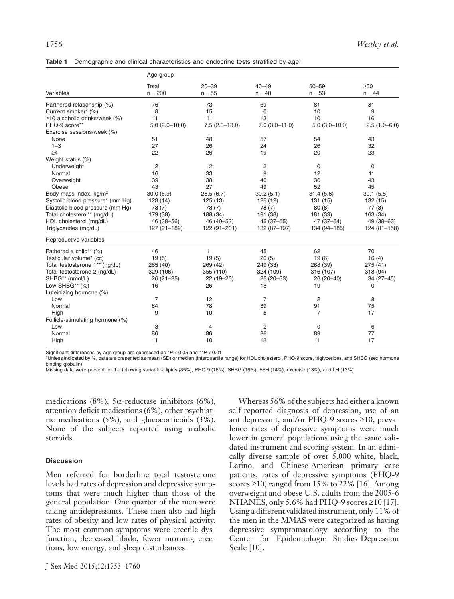|                                     | Age group          |                       |                       |                       |                       |  |  |
|-------------------------------------|--------------------|-----------------------|-----------------------|-----------------------|-----------------------|--|--|
| Variables                           | Total<br>$n = 200$ | $20 - 39$<br>$n = 55$ | $40 - 49$<br>$n = 48$ | $50 - 59$<br>$n = 53$ | $\geq 60$<br>$n = 44$ |  |  |
| Partnered relationship (%)          | 76                 | 73                    | 69                    | 81                    | 81                    |  |  |
| Current smoker* (%)                 | 8                  | 15                    | 0                     | 10                    | 9                     |  |  |
| $\geq$ 10 alcoholic drinks/week (%) | 11                 | 11                    | 13                    | 10                    | 16                    |  |  |
| PHQ-9 score**                       | $5.0(2.0-10.0)$    | $7.5(2.0-13.0)$       | $7.0(3.0-11.0)$       | $5.0(3.0-10.0)$       | $2.5(1.0-6.0)$        |  |  |
| Exercise sessions/week (%)          |                    |                       |                       |                       |                       |  |  |
| None                                | 51                 | 48                    | 57                    | 54                    | 43                    |  |  |
| $1 - 3$                             | 27                 | 26                    | 24                    | 26                    | 32                    |  |  |
| $\geq 4$                            | 22                 | 26                    | 19                    | 20                    | 23                    |  |  |
| Weight status (%)                   |                    |                       |                       |                       |                       |  |  |
| Underweight                         | 2                  | 2                     | 2                     | 0                     | 0                     |  |  |
| Normal                              | 16                 | 33                    | 9                     | 12                    | 11                    |  |  |
| Overweight                          | 39                 | 38                    | 40                    | 36                    | 43                    |  |  |
| Obese                               | 43                 | 27                    | 49                    | 52                    | 45                    |  |  |
| Body mass index, kg/m <sup>2</sup>  | 30.0(5.9)          | 28.5(6.7)             | 30.2(5.1)             | 31.4(5.6)             | 30.1(5.5)             |  |  |
| Systolic blood pressure* (mm Hq)    | 128 (14)           | 125 (13)              | 125(12)               | 131 (15)              | 132 (15)              |  |  |
| Diastolic blood pressure (mm Hg)    | 78 (7)             | 78 (7)                | 78 (7)                | 80(8)                 | 77(8)                 |  |  |
| Total cholesterol** (mg/dL)         | 179 (38)           | 188 (34)              | 191 (38)              | 181 (39)              | 163 (34)              |  |  |
| HDL cholesterol (mg/dL)             | 46 (38-56)         | 46 (40-52)            | 45 (37-55)            | 47 (37-54)            | 49 (38-63)            |  |  |
| Triglycerides (mg/dL)               | 127 (91-182)       | 122 (91-201)          | 132 (87-197)          | 134 (94-185)          | 124 (81-158)          |  |  |
| Reproductive variables              |                    |                       |                       |                       |                       |  |  |
| Fathered a child** (%)              | 46                 | 11                    | 45                    | 62                    | 70                    |  |  |
| Testicular volume* (cc)             | 19(5)              | 19(5)                 | 20(5)                 | 19(6)                 | 16(4)                 |  |  |
| Total testosterone 1** (ng/dL)      | 265 (40)           | 269 (42)              | 249 (33)              | 268 (39)              | 275 (41)              |  |  |
| Total testosterone 2 (ng/dL)        | 329 (106)          | 355 (110)             | 324 (109)             | 316 (107)             | 318 (94)              |  |  |
| SHBG** (nmol/L)                     | $26(21-35)$        | $22(19-26)$           | $25(20-33)$           | 26 (20-40)            | $34(27-45)$           |  |  |
| Low SHBG** (%)                      | 16                 | 26                    | 18                    | 19                    | 0                     |  |  |
| Luteinizing hormone (%)             |                    |                       |                       |                       |                       |  |  |
| Low                                 | 7                  | 12                    | 7                     | 2                     | 8                     |  |  |
| Normal                              | 84                 | 78                    | 89                    | 91                    | 75                    |  |  |
| High                                | 9                  | 10                    | 5                     | $\overline{7}$        | 17                    |  |  |
| Follicle-stimulating hormone (%)    |                    |                       |                       |                       |                       |  |  |
| Low                                 | 3                  | 4                     | 2                     | 0                     | 6                     |  |  |
| Normal                              | 86                 | 86                    | 86                    | 89                    | 77                    |  |  |
| High                                | 11                 | 10                    | 12                    | 11                    | 17                    |  |  |

Significant differences by age group are expressed as \**P* < 0.05 and \*\**P* < 0.01

†Unless indicated by %, data are presented as mean (SD) or median (interquartile range) for HDL cholesterol, PHQ-9 score, triglycerides, and SHBG (sex hormone binding globulin)

Missing data were present for the following variables: lipids (35%), PHQ-9 (16%), SHBG (16%), FSH (14%), exercise (13%), and LH (13%)

medications (8%), 5 $\alpha$ -reductase inhibitors (6%), attention deficit medications (6%), other psychiatric medications (5%), and glucocorticoids (3%). None of the subjects reported using anabolic steroids.

#### **Discussion**

Men referred for borderline total testosterone levels had rates of depression and depressive symptoms that were much higher than those of the general population. One quarter of the men were taking antidepressants. These men also had high rates of obesity and low rates of physical activity. The most common symptoms were erectile dysfunction, decreased libido, fewer morning erections, low energy, and sleep disturbances.

J Sex Med 2015;12:1753–1760

Whereas 56% of the subjects had either a known self-reported diagnosis of depression, use of an antidepressant, and/or PHQ-9 scores ≥10, prevalence rates of depressive symptoms were much lower in general populations using the same validated instrument and scoring system. In an ethnically diverse sample of over 5,000 white, black, Latino, and Chinese-American primary care patients, rates of depressive symptoms (PHQ-9 scores  $\geq$ 10) ranged from 15% to 22% [16]. Among overweight and obese U.S. adults from the 2005-6 NHANES, only 5.6% had PHQ-9 scores ≥10 [17]. Using a different validated instrument, only 11% of the men in the MMAS were categorized as having depressive symptomatology according to the Center for Epidemiologic Studies-Depression Scale [10].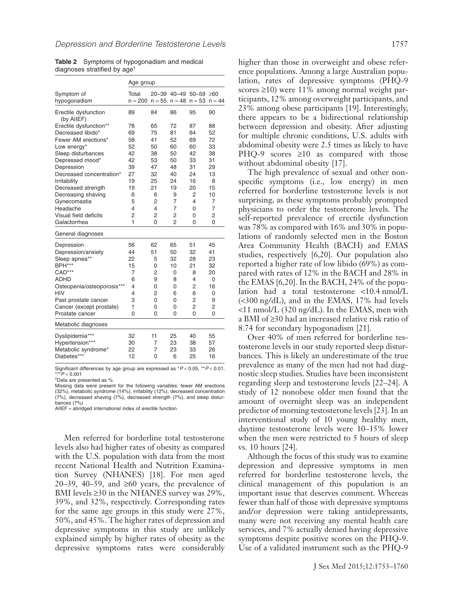|                                    | Age group                            |                |                |                                   |                |  |
|------------------------------------|--------------------------------------|----------------|----------------|-----------------------------------|----------------|--|
| Symptom of<br>hypogonadism         | Total<br>$n = 200$ $n = 55$ $n = 48$ |                |                | 20-39 40-49 50-59 >60<br>$n = 53$ | $n = 44$       |  |
| Erectile dysfunction<br>(by AIIEF) | 89                                   | 84             | 86             | 95                                | 90             |  |
| Erectile dysfunction**             | 78                                   | 65             | 72             | 87                                | 88             |  |
| Decreased libido*                  | 69                                   | 75             | 81             | 64                                | 52             |  |
| Fewer AM erections*                | 58                                   | 41             | 52             | 69                                | 72             |  |
| Low energy*                        | 52                                   | 50             | 60             | 60                                | 33             |  |
| Sleep disturbances                 | 42                                   | 38             | 50             | 42                                | 38             |  |
| Depressed mood*                    | 42                                   | 53             | 50             | 33                                | 31             |  |
| Depression                         | 39                                   | 47             | 48             | 31                                | 29             |  |
| Decreased concentration*           | 27                                   | 32             | 40             | 24                                | 13             |  |
| Irritability                       | 19                                   | 25             | 24             | 16                                | 8              |  |
| Decreased strength                 | 19                                   | 21             | 19             | 20                                | 15             |  |
| Decreasing shaving                 | 6                                    | 6              | 9              | 2                                 | 10             |  |
| Gynecomastia                       | 5                                    | 2              | 7              | 4                                 | 7              |  |
| Headache                           | 4                                    | 4              | 7              | 0                                 | 7              |  |
| Visual field deficits              | $\overline{2}$                       | $\overline{2}$ | $\overline{2}$ | 0                                 | $\overline{2}$ |  |
| Galactorrhea                       | 1                                    | 0              | $\overline{2}$ | 0                                 | 0              |  |
| General diagnoses                  |                                      |                |                |                                   |                |  |
| Depression                         | 56                                   | 62             | 65             | 51                                | 45             |  |
| Depression/anxiety                 | 44                                   | 51             | 50             | 32                                | 41             |  |
| Sleep apnea**                      | 22                                   | 5              | 32             | 28                                | 23             |  |
| BPH***                             | 15                                   | 0              | 10             | 21                                | 32             |  |
| CAD***                             | 7                                    | 2              | 0              | 8                                 | 20             |  |
| <b>ADHD</b>                        | 6                                    | 9              | 8              | 4                                 | 0              |  |
| Osteopenia/osteoporosis***         | 4                                    | 0              | 0              | 2                                 | 16             |  |
| HIV                                | 4                                    | 2              | 6              | 6                                 | 0              |  |
| Past prostate cancer               | 3                                    | 0              | 0              | 2                                 | 9              |  |
| Cancer (except prostate)           | 1                                    | 0              | 0              | 2                                 | 2              |  |
| Prostate cancer                    | 0                                    | 0              | 0              | 0                                 | 0              |  |
| Metabolic diagnoses                |                                      |                |                |                                   |                |  |
| Dyslipidemia***                    | 32                                   | 11             | 25             | 40                                | 55             |  |
| Hypertension***                    | 30                                   | 7              | 23             | 38                                | 57             |  |
| Metabolic syndrome*                | 22                                   | 7              | 23             | 33                                | 26             |  |
| Diabetes***                        | 12                                   | $\mathbf 0$    | 6              | 25                                | 16             |  |

**Table 2** Symptoms of hypogonadism and medical diagnoses stratified by age†

Significant differences by age group are expressed as \**P* < 0.05, \*\**P* < 0.01, \*\*\**P* < 0.001

†Data are presented as %

Missing data were present for the following variables: fewer AM erections (32%), metabolic syndrome (14%), irritability (12%), decreased concentration (7%), decreased shaving (7%), decreased strength (7%), and sleep disturbances (7%)

AIIEF = abridged international index of erectile function

Men referred for borderline total testosterone levels also had higher rates of obesity as compared with the U.S. population with data from the most recent National Health and Nutrition Examination Survey (NHANES) [18]. For men aged 20–39, 40–59, and  $\geq 60$  years, the prevalence of BMI levels  $\geq$ 30 in the NHANES survey was 29%, 39%, and 32%, respectively. Corresponding rates for the same age groups in this study were 27%, 50%, and 45%. The higher rates of depression and depressive symptoms in this study are unlikely explained simply by higher rates of obesity as the depressive symptoms rates were considerably higher than those in overweight and obese reference populations. Among a large Australian population, rates of depressive symptoms (PHQ-9 scores  $\geq$ 10) were 11% among normal weight participants, 12% among overweight participants, and 23% among obese participants [19]. Interestingly,

there appears to be a bidirectional relationship between depression and obesity. After adjusting for multiple chronic conditions, U.S. adults with abdominal obesity were 2.5 times as likely to have PHQ-9 scores  $\geq 10$  as compared with those without abdominal obesity [17].

The high prevalence of sexual and other nonspecific symptoms (i.e., low energy) in men referred for borderline testosterone levels is not surprising, as these symptoms probably prompted physicians to order the testosterone levels. The self-reported prevalence of erectile dysfunction was 78% as compared with 16% and 30% in populations of randomly selected men in the Boston Area Community Health (BACH) and EMAS studies, respectively [6,20]. Our population also reported a higher rate of low libido (69%) as compared with rates of 12% in the BACH and 28% in the EMAS [6,20]. In the BACH, 24% of the population had a total testosterone <10.4 nmol/L (<300 ng/dL), and in the EMAS, 17% had levels <11 nmol/L (320 ng/dL). In the EMAS, men with a BMI of ≥30 had an increased relative risk ratio of 8.74 for secondary hypogonadism [21].

Over 40% of men referred for borderline testosterone levels in our study reported sleep disturbances. This is likely an underestimate of the true prevalence as many of the men had not had diagnostic sleep studies. Studies have been inconsistent regarding sleep and testosterone levels [22–24]. A study of 12 nonobese older men found that the amount of overnight sleep was an independent predictor of morning testosterone levels [23]. In an interventional study of 10 young healthy men, daytime testosterone levels were 10–15% lower when the men were restricted to 5 hours of sleep vs. 10 hours [24].

Although the focus of this study was to examine depression and depressive symptoms in men referred for borderline testosterone levels, the clinical management of this population is an important issue that deserves comment. Whereas fewer than half of those with depressive symptoms and/or depression were taking antidepressants, many were not receiving any mental health care services, and 7% actually denied having depressive symptoms despite positive scores on the PHQ-9. Use of a validated instrument such as the PHQ-9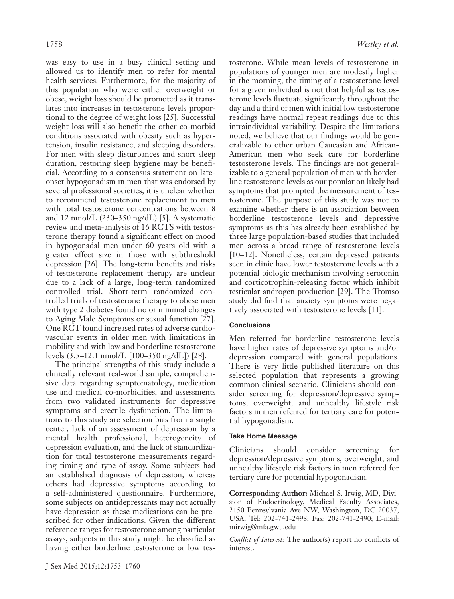was easy to use in a busy clinical setting and allowed us to identify men to refer for mental health services. Furthermore, for the majority of this population who were either overweight or obese, weight loss should be promoted as it translates into increases in testosterone levels proportional to the degree of weight loss [25]. Successful weight loss will also benefit the other co-morbid conditions associated with obesity such as hypertension, insulin resistance, and sleeping disorders. For men with sleep disturbances and short sleep duration, restoring sleep hygiene may be beneficial. According to a consensus statement on lateonset hypogonadism in men that was endorsed by several professional societies, it is unclear whether to recommend testosterone replacement to men with total testosterone concentrations between 8 and 12 nmol/L (230–350 ng/dL) [5]. A systematic review and meta-analysis of 16 RCTS with testosterone therapy found a significant effect on mood in hypogonadal men under 60 years old with a greater effect size in those with subthreshold depression [26]. The long-term benefits and risks of testosterone replacement therapy are unclear due to a lack of a large, long-term randomized controlled trial. Short-term randomized controlled trials of testosterone therapy to obese men with type 2 diabetes found no or minimal changes to Aging Male Symptoms or sexual function [27]. One RCT found increased rates of adverse cardiovascular events in older men with limitations in mobility and with low and borderline testosterone levels (3.5–12.1 nmol/L [100–350 ng/dL]) [28].

The principal strengths of this study include a clinically relevant real-world sample, comprehensive data regarding symptomatology, medication use and medical co-morbidities, and assessments from two validated instruments for depressive symptoms and erectile dysfunction. The limitations to this study are selection bias from a single center, lack of an assessment of depression by a mental health professional, heterogeneity of depression evaluation, and the lack of standardization for total testosterone measurements regarding timing and type of assay. Some subjects had an established diagnosis of depression, whereas others had depressive symptoms according to a self-administered questionnaire. Furthermore, some subjects on antidepressants may not actually have depression as these medications can be prescribed for other indications. Given the different reference ranges for testosterone among particular assays, subjects in this study might be classified as having either borderline testosterone or low tes-

tosterone. While mean levels of testosterone in populations of younger men are modestly higher in the morning, the timing of a testosterone level for a given individual is not that helpful as testosterone levels fluctuate significantly throughout the day and a third of men with initial low testosterone readings have normal repeat readings due to this intraindividual variability. Despite the limitations noted, we believe that our findings would be generalizable to other urban Caucasian and African-American men who seek care for borderline testosterone levels. The findings are not generalizable to a general population of men with borderline testosterone levels as our population likely had symptoms that prompted the measurement of testosterone. The purpose of this study was not to examine whether there is an association between borderline testosterone levels and depressive symptoms as this has already been established by three large population-based studies that included men across a broad range of testosterone levels [10–12]. Nonetheless, certain depressed patients seen in clinic have lower testosterone levels with a potential biologic mechanism involving serotonin and corticotrophin-releasing factor which inhibit testicular androgen production [29]. The Tromso study did find that anxiety symptoms were negatively associated with testosterone levels [11].

## **Conclusions**

Men referred for borderline testosterone levels have higher rates of depressive symptoms and/or depression compared with general populations. There is very little published literature on this selected population that represents a growing common clinical scenario. Clinicians should consider screening for depression/depressive symptoms, overweight, and unhealthy lifestyle risk factors in men referred for tertiary care for potential hypogonadism.

## **Take Home Message**

Clinicians should consider screening for depression/depressive symptoms, overweight, and unhealthy lifestyle risk factors in men referred for tertiary care for potential hypogonadism.

**Corresponding Author:** Michael S. Irwig, MD, Division of Endocrinology, Medical Faculty Associates, 2150 Pennsylvania Ave NW, Washington, DC 20037, USA. Tel: 202-741-2498; Fax: 202-741-2490; E-mail: [mirwig@mfa.gwu.edu](mailto:mirwig@mfa.gwu.edu)

*Conflict of Interest:* The author(s) report no conflicts of interest.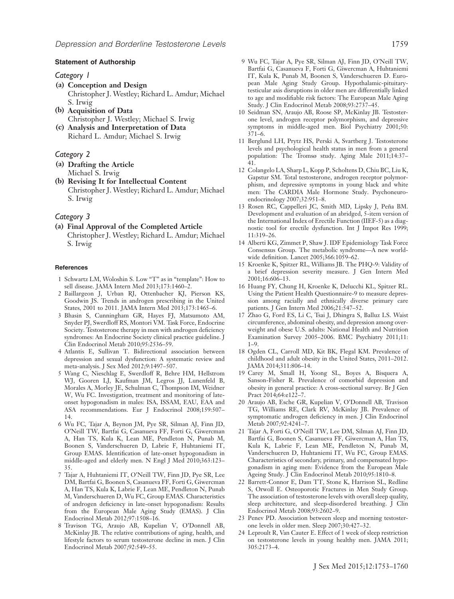### **Statement of Authorship**

#### *Category 1*

- **(a) Conception and Design** Christopher J. Westley; Richard L. Amdur; Michael S. Irwig
- **(b) Acquisition of Data** Christopher J. Westley; Michael S. Irwig
- **(c) Analysis and Interpretation of Data** Richard L. Amdur; Michael S. Irwig

#### *Category 2*

- **(a) Drafting the Article** Michael S. Irwig
- **(b) Revising It for Intellectual Content** Christopher J. Westley; Richard L. Amdur; Michael S. Irwig

#### *Category 3*

**(a) Final Approval of the Completed Article** Christopher J. Westley; Richard L. Amdur; Michael S. Irwig

#### **References**

- 1 Schwartz LM, Woloshin S. Low "T" as in "template": How to sell disease. JAMA Intern Med 2013;173:1460–2.
- 2 Baillargeon J, Urban RJ, Ottenbacher KJ, Pierson KS, Goodwin JS. Trends in androgen prescribing in the United States, 2001 to 2011. JAMA Intern Med 2013;173:1465–6.
- 3 Bhasin S, Cunningham GR, Hayes FJ, Matsumoto AM, Snyder PJ, Swerdloff RS, Montori VM. Task Force, Endocrine Society. Testosterone therapy in men with androgen deficiency syndromes: An Endocrine Society clinical practice guideline. J Clin Endocrinol Metab 2010;95:2536–59.
- 4 Atlantis E, Sullivan T. Bidirectional association between depression and sexual dysfunction: A systematic review and meta-analysis. J Sex Med 2012;9:1497–507.
- 5 Wang C, Nieschlag E, Swerdloff R, Behre HM, Hellstrom WJ, Gooren LJ, Kaufman JM, Legros JJ, Lunenfeld B, Morales A, Morley JE, Schulman C, Thompson IM, Weidner W, Wu FC. Investigation, treatment and monitoring of lateonset hypogonadism in males: ISA, ISSAM, EAU, EAA and ASA recommendations. Eur J Endocrinol 2008;159:507– 14.
- 6 Wu FC, Tajar A, Beynon JM, Pye SR, Silman AJ, Finn JD, O'Neill TW, Bartfai G, Casanueva FF, Forti G, Giwercman A, Han TS, Kula K, Lean ME, Pendleton N, Punab M, Boonen S, Vanderschueren D, Labrie F, Huhtaniemi IT, Group EMAS. Identification of late-onset hypogonadism in middle-aged and elderly men. N Engl J Med 2010;363:123– 35.
- 7 Tajar A, Huhtaniemi IT, O'Neill TW, Finn JD, Pye SR, Lee DM, Bartfai G, Boonen S, Casanueva FF, Forti G, Giwercman A, Han TS, Kula K, Labrie F, Lean ME, Pendleton N, Punab M, Vanderschueren D, Wu FC, Group EMAS. Characteristics of androgen deficiency in late-onset hypogonadism: Results from the European Male Aging Study (EMAS). J Clin Endocrinol Metab 2012;97:1508–16.
- 8 Travison TG, Araujo AB, Kupelian V, O'Donnell AB, McKinlay JB. The relative contributions of aging, health, and lifestyle factors to serum testosterone decline in men. J Clin Endocrinol Metab 2007;92:549–55.
- 9 Wu FC, Tajar A, Pye SR, Silman AJ, Finn JD, O'Neill TW, Bartfai G, Casanueva F, Forti G, Giwercman A, Huhtaniemi IT, Kula K, Punab M, Boonen S, Vanderschueren D. European Male Aging Study Group. Hypothalamic-pituitarytesticular axis disruptions in older men are differentially linked to age and modifiable risk factors: The European Male Aging Study. J Clin Endocrinol Metab 2008;93:2737–45.
- 10 Seidman SN, Araujo AB, Roose SP, McKinlay JB. Testosterone level, androgen receptor polymorphism, and depressive symptoms in middle-aged men. Biol Psychiatry 2001;50: 371–6.
- 11 Berglund LH, Prytz HS, Perski A, Svartberg J. Testosterone levels and psychological health status in men from a general population: The Tromsø study. Aging Male 2011;14:37– 41.
- 12 Colangelo LA, Sharp L, Kopp P, Scholtens D, Chiu BC, Liu K, Gapstur SM. Total testosterone, androgen receptor polymorphism, and depressive symptoms in young black and white men: The CARDIA Male Hormone Study. Psychoneuroendocrinology 2007;32:951–8.
- 13 Rosen RC, Cappelleri JC, Smith MD, Lipsky J, Peña BM. Development and evaluation of an abridged, 5-item version of the International Index of Erectile Function (IIEF-5) as a diagnostic tool for erectile dysfunction. Int J Impot Res 1999; 11:319–26.
- 14 Alberti KG, Zimmet P, Shaw J. IDF Epidemiology Task Force Consensus Group. The metabolic syndrome—A new worldwide definition. Lancet 2005;366:1059–62.
- 15 Kroenke K, Spitzer RL, Williams JB. The PHQ-9: Validity of a brief depression severity measure. J Gen Intern Med 2001;16:606–13.
- 16 Huang FY, Chung H, Kroenke K, Delucchi KL, Spitzer RL. Using the Patient Health Questionnaire-9 to measure depression among racially and ethnically diverse primary care patients. J Gen Intern Med 2006;21:547–52.
- 17 Zhao G, Ford ES, Li C, Tsai J, Dhingra S, Balluz LS. Waist circumference, abdominal obesity, and depression among overweight and obese U.S. adults: National Health and Nutrition Examination Survey 2005–2006. BMC Psychiatry 2011;11: 1–9.
- 18 Ogden CL, Carroll MD, Kit BK, Flegal KM. Prevalence of childhood and adult obesity in the United States, 2011–2012. JAMA 2014;311:806–14.
- 19 Carey M, Small H, Yoong SL, Boyes A, Bisquera A, Sanson-Fisher R. Prevalence of comorbid depression and obesity in general practice: A cross-sectional survey. Br J Gen Pract 2014;64:e122–7.
- 20 Araujo AB, Esche GR, Kupelian V, O'Donnell AB, Travison TG, Williams RE, Clark RV, McKinlay JB. Prevalence of symptomatic androgen deficiency in men. J Clin Endocrinol Metab 2007;92:4241–7.
- 21 Tajar A, Forti G, O'Neill TW, Lee DM, Silman AJ, Finn JD, Bartfai G, Boonen S, Casanueva FF, Giwercman A, Han TS, Kula K, Labrie F, Lean ME, Pendleton N, Punab M, Vanderschueren D, Huhtaniemi IT, Wu FC, Group EMAS. Characteristics of secondary, primary, and compensated hypogonadism in aging men: Evidence from the European Male Ageing Study. J Clin Endocrinol Metab 2010;95:1810–8.
- 22 Barrett-Connor E, Dam TT, Stone K, Harrison SL, Redline S, Orwoll E. Osteoporotic Fractures in Men Study Group. The association of testosterone levels with overall sleep quality, sleep architecture, and sleep-disordered breathing. J Clin Endocrinol Metab 2008;93:2602–9.
- 23 Penev PD. Association between sleep and morning testosterone levels in older men. Sleep 2007;30:427–32.
- 24 Leproult R, Van Cauter E. Effect of 1 week of sleep restriction on testosterone levels in young healthy men. JAMA 2011; 305:2173–4.